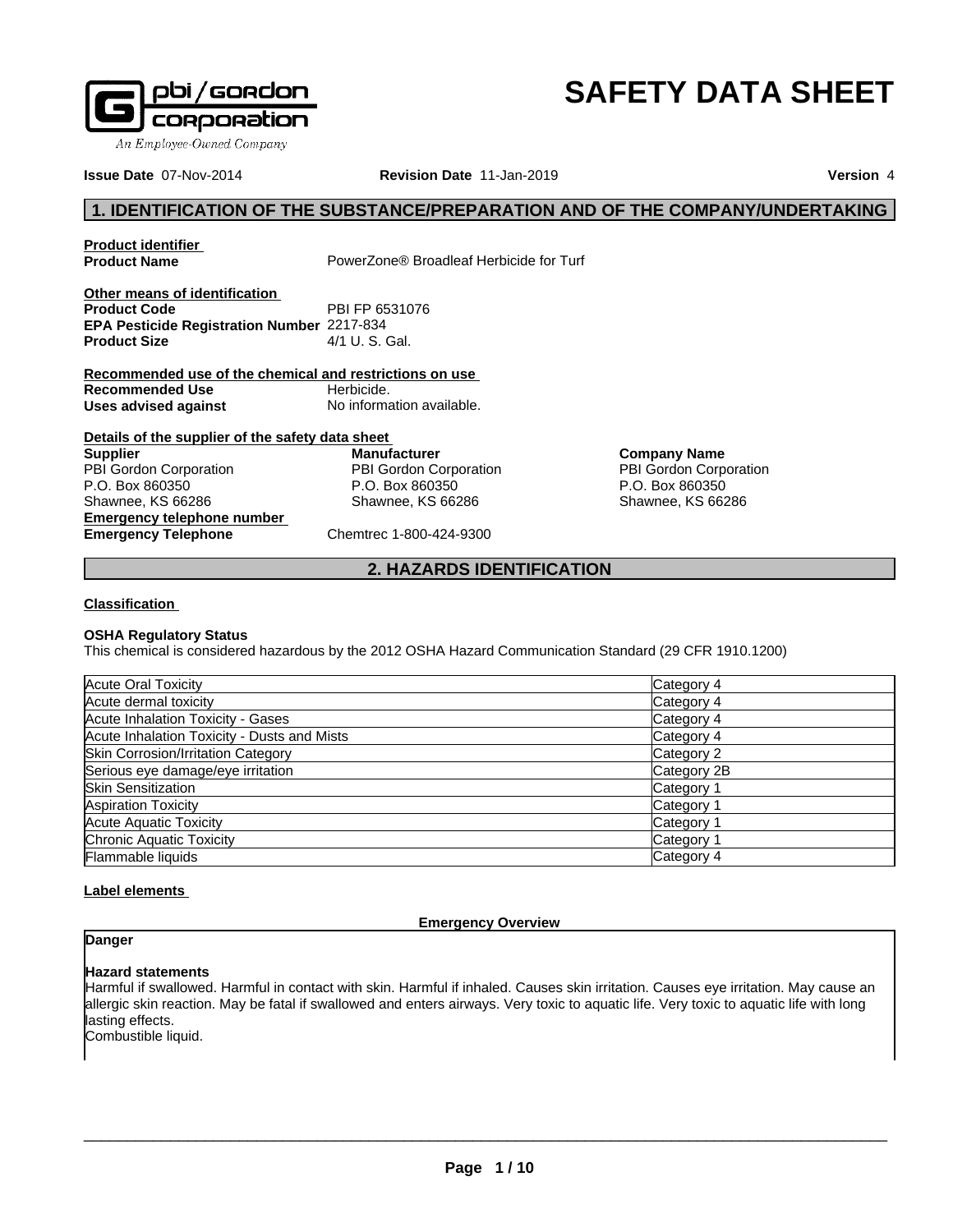

# **SAFETY DATA SHEET**

**Issue Date** 07-Nov-2014 **Revision Date** 11-Jan-2019 **Version** 4

# **1. IDENTIFICATION OF THE SUBSTANCE/PREPARATION AND OF THE COMPANY/UNDERTAKING**

**Product identifier**

PowerZone<sup>®</sup> Broadleaf Herbicide for Turf

**Other means of identification Product Code** PBI FP 6531076 **EPA Pesticide Registration Number** 2217-834 **Product Size** 4/1 U. S. Gal.

**Recommended use of the chemical and restrictions on use Recommended Use** Herbicide. **Uses advised against** No information available.

| Details of the supplier of the safety data sheet |                         |  |  |
|--------------------------------------------------|-------------------------|--|--|
| <b>Supplier</b>                                  | <b>Manufacturer</b>     |  |  |
| PBI Gordon Corporation                           | PBI Gordon Corporation  |  |  |
| P.O. Box 860350                                  | P.O. Box 860350         |  |  |
| Shawnee, KS 66286                                | Shawnee, KS 66286       |  |  |
| <b>Emergency telephone number</b>                |                         |  |  |
| <b>Emergency Telephone</b>                       | Chemtrec 1-800-424-9300 |  |  |

**Company Name** PBI Gordon Corporation P.O. Box 860350 Shawnee, KS 66286

# **2. HAZARDS IDENTIFICATION**

# **Classification**

# **OSHA Regulatory Status**

This chemical is considered hazardous by the 2012 OSHA Hazard Communication Standard (29 CFR 1910.1200)

| Acute Oral Toxicity                         | Category 4  |
|---------------------------------------------|-------------|
| Acute dermal toxicity                       | Category 4  |
| Acute Inhalation Toxicity - Gases           | Category 4  |
| Acute Inhalation Toxicity - Dusts and Mists | Category 4  |
| Skin Corrosion/Irritation Category          | Category 2  |
| Serious eye damage/eye irritation           | Category 2B |
| <b>Skin Sensitization</b>                   | Category 1  |
| <b>Aspiration Toxicity</b>                  | Category 1  |
| Acute Aquatic Toxicity                      | Category 1  |
| Chronic Aquatic Toxicity                    | Category 1  |
| Flammable liquids                           | Category 4  |

# **Label elements**

# **Emergency Overview**

# **Danger**

# **Hazard statements**

Harmful if swallowed. Harmful in contact with skin. Harmful if inhaled. Causes skin irritation. Causes eye irritation. May cause an allergic skin reaction. May be fatal if swallowed and enters airways. Very toxic to aquatic life. Very toxic to aquatic life with long lasting effects.

Combustible liquid.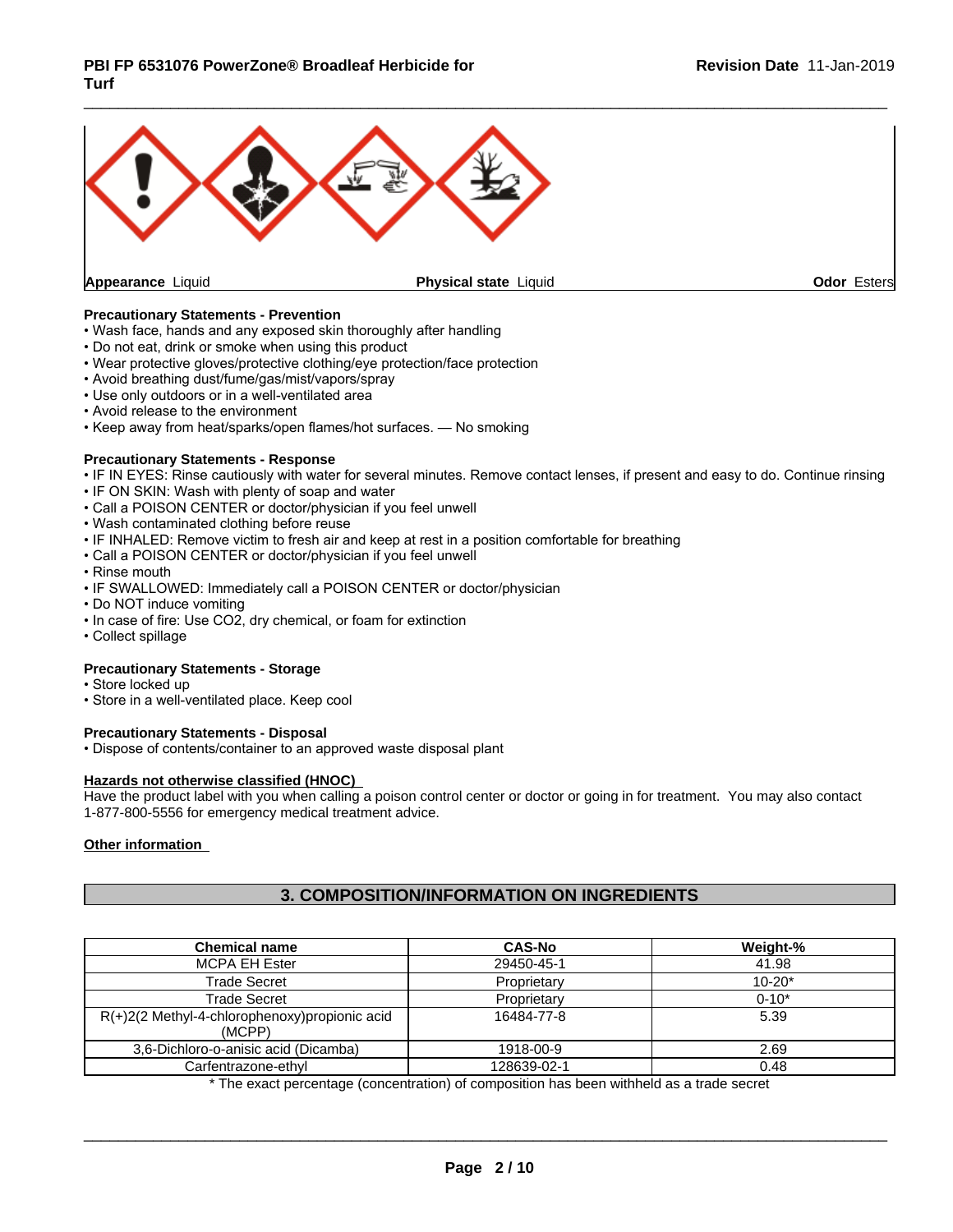

# **Precautionary Statements - Prevention**

- Wash face, hands and any exposed skin thoroughly after handling
- Do not eat, drink or smoke when using this product
- Wear protective gloves/protective clothing/eye protection/face protection
- Avoid breathing dust/fume/gas/mist/vapors/spray
- Use only outdoors or in a well-ventilated area
- Avoid release to the environment
- Keep away from heat/sparks/open flames/hot surfaces. No smoking

#### **Precautionary Statements - Response**

- IF IN EYES: Rinse cautiously with water for several minutes. Remove contact lenses, if present and easy to do. Continue rinsing
- IF ON SKIN: Wash with plenty of soap and water
- Call a POISON CENTER or doctor/physician if you feel unwell
- Wash contaminated clothing before reuse
- IF INHALED: Remove victim to fresh air and keep at rest in a position comfortable for breathing
- Call a POISON CENTER or doctor/physician if you feel unwell
- Rinse mouth
- IF SWALLOWED: Immediately call a POISON CENTER or doctor/physician
- Do NOT induce vomiting
- In case of fire: Use CO2, dry chemical, or foam for extinction
- Collect spillage

# **Precautionary Statements - Storage**

- Store locked up
- Store in a well-ventilated place. Keep cool

# **Precautionary Statements - Disposal**

• Dispose of contents/container to an approved waste disposal plant

#### **Hazards not otherwise classified (HNOC)**

Have the product label with you when calling a poison control center or doctor or going in for treatment. You may also contact 1-877-800-5556 for emergency medical treatment advice.

# **Other information**

# **3. COMPOSITION/INFORMATION ON INGREDIENTS**

| <b>Chemical name</b>                                       | <b>CAS-No</b> | Weight-%   |
|------------------------------------------------------------|---------------|------------|
| <b>MCPA EH Ester</b>                                       | 29450-45-1    | 41.98      |
| <b>Trade Secret</b>                                        | Proprietary   | $10 - 20*$ |
| Trade Secret                                               | Proprietary   | $0 - 10*$  |
| $R(+)2(2$ Methyl-4-chlorophenoxy) propionic acid<br>(MCPP) | 16484-77-8    | 5.39       |
| 3,6-Dichloro-o-anisic acid (Dicamba)                       | 1918-00-9     | 2.69       |
| Carfentrazone-ethyl                                        | 128639-02-1   | 0.48       |

\* The exact percentage (concentration) ofcomposition has been withheld as a trade secret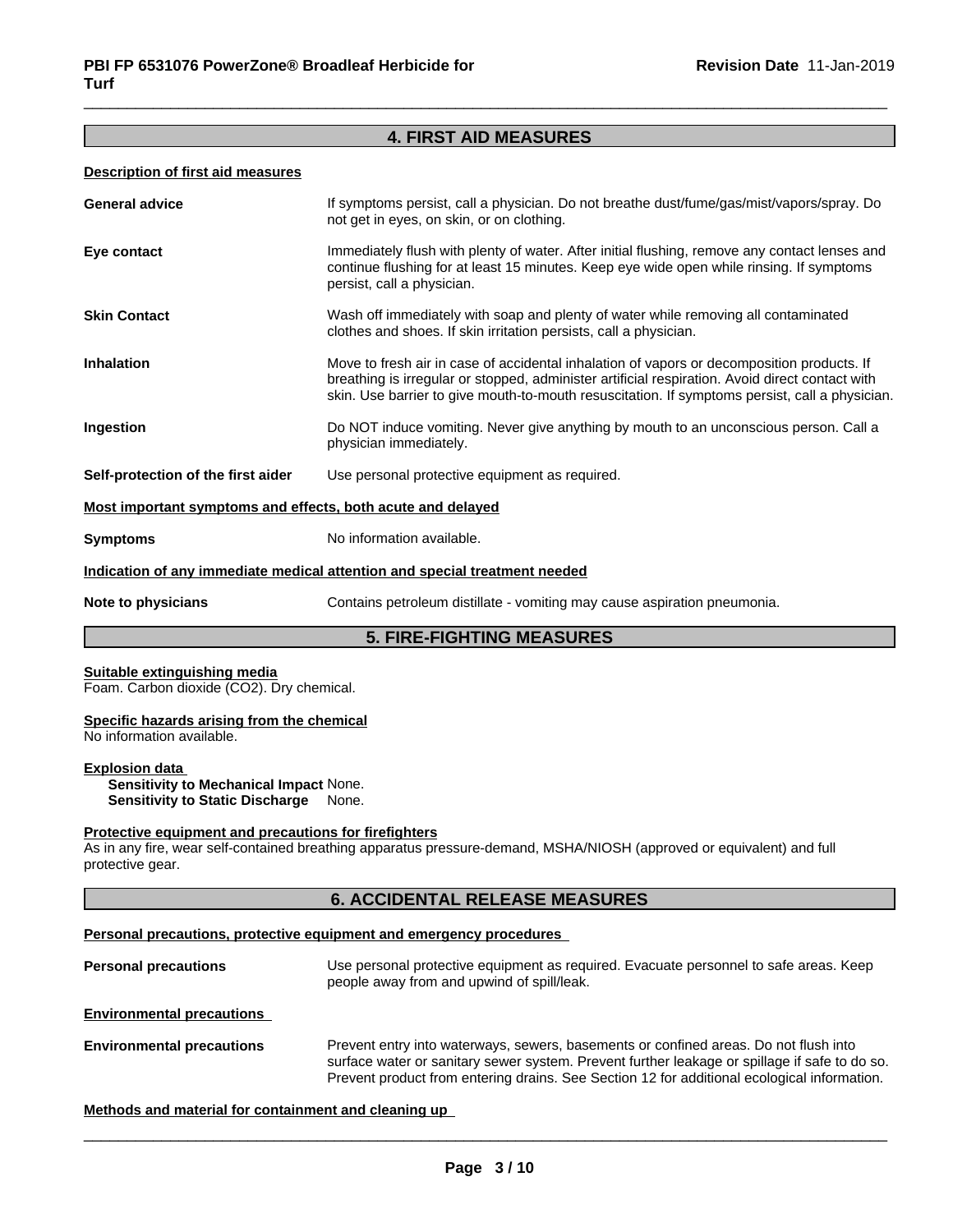# **4. FIRST AID MEASURES**

#### **Description of first aid measures**

| <b>General advice</b>                                       | If symptoms persist, call a physician. Do not breathe dust/fume/gas/mist/vapors/spray. Do<br>not get in eyes, on skin, or on clothing.                                                                                                                                                          |
|-------------------------------------------------------------|-------------------------------------------------------------------------------------------------------------------------------------------------------------------------------------------------------------------------------------------------------------------------------------------------|
| Eye contact                                                 | Immediately flush with plenty of water. After initial flushing, remove any contact lenses and<br>continue flushing for at least 15 minutes. Keep eye wide open while rinsing. If symptoms<br>persist, call a physician.                                                                         |
| <b>Skin Contact</b>                                         | Wash off immediately with soap and plenty of water while removing all contaminated<br>clothes and shoes. If skin irritation persists, call a physician.                                                                                                                                         |
| <b>Inhalation</b>                                           | Move to fresh air in case of accidental inhalation of vapors or decomposition products. If<br>breathing is irregular or stopped, administer artificial respiration. Avoid direct contact with<br>skin. Use barrier to give mouth-to-mouth resuscitation. If symptoms persist, call a physician. |
| Ingestion                                                   | Do NOT induce vomiting. Never give anything by mouth to an unconscious person. Call a<br>physician immediately.                                                                                                                                                                                 |
| Self-protection of the first aider                          | Use personal protective equipment as required.                                                                                                                                                                                                                                                  |
| Most important symptoms and effects, both acute and delayed |                                                                                                                                                                                                                                                                                                 |
| <b>Symptoms</b>                                             | No information available.                                                                                                                                                                                                                                                                       |

#### **Indication of any immediate medical attention and special treatment needed**

**Note to physicians** Contains petroleum distillate - vomiting may cause aspiration pneumonia.

# **5. FIRE-FIGHTING MEASURES**

#### **Suitable extinguishing media**

Foam. Carbon dioxide (CO2). Dry chemical.

#### **Specific hazards arising from the chemical**

No information available.

# **Explosion data**

**Sensitivity to Mechanical Impact** None. **Sensitivity to Static Discharge** None.

#### **Protective equipment and precautions for firefighters**

As in any fire, wear self-contained breathing apparatus pressure-demand, MSHA/NIOSH (approved or equivalent) and full protective gear.

# **6. ACCIDENTAL RELEASE MEASURES**

#### **Personal precautions, protective equipment and emergency procedures**

| <b>Personal precautions</b>      | Use personal protective equipment as required. Evacuate personnel to safe areas. Keep<br>people away from and upwind of spill/leak. |
|----------------------------------|-------------------------------------------------------------------------------------------------------------------------------------|
| <b>Environmental precautions</b> |                                                                                                                                     |

**Environmental precautions** Prevent entry into waterways, sewers, basements or confined areas. Do not flush into surface water or sanitary sewer system. Prevent further leakage or spillage if safe to do so. Prevent product from entering drains. See Section 12 for additional ecological information.

# **Methods and material for containment and cleaning up**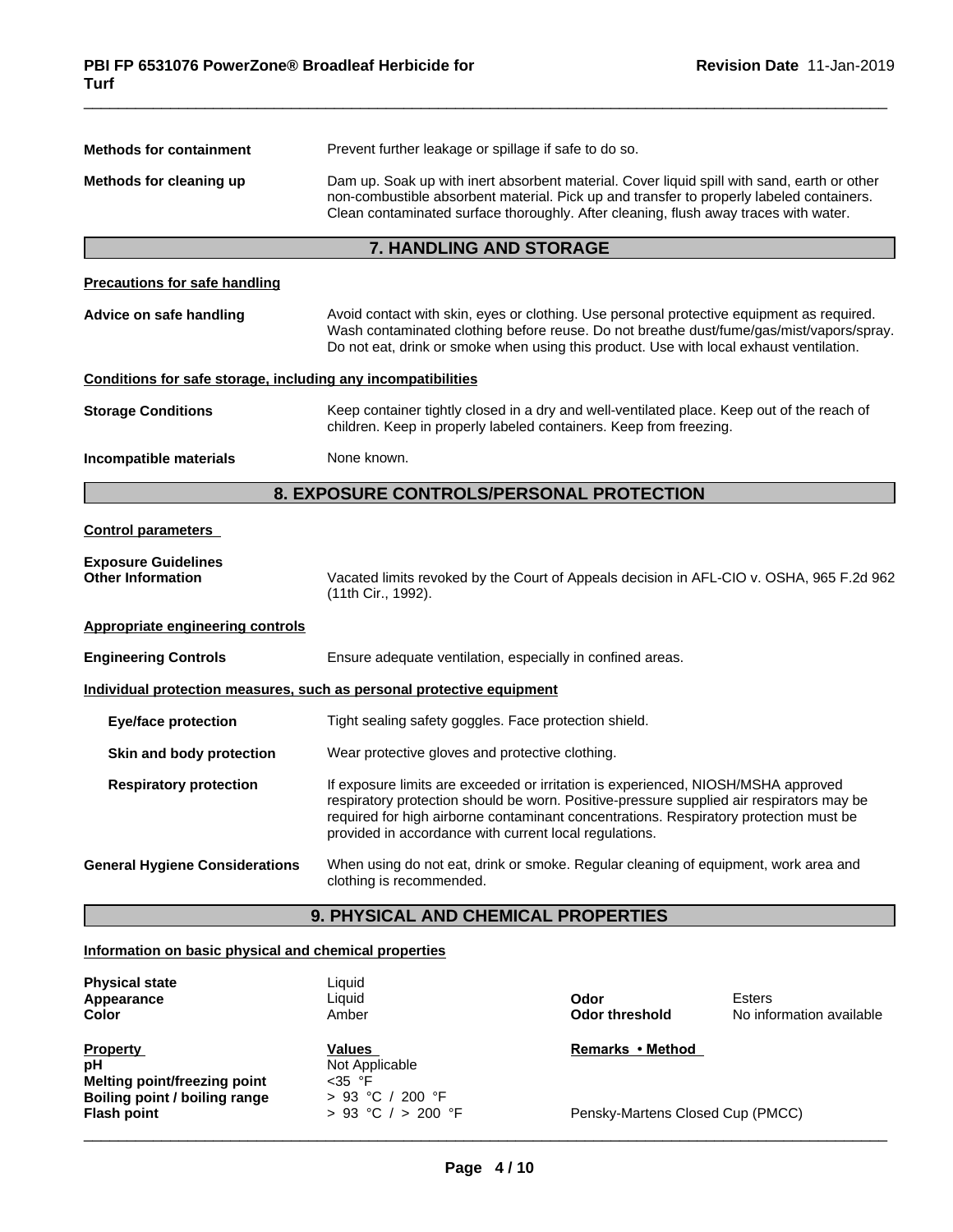| <b>Methods for containment</b>                               | Prevent further leakage or spillage if safe to do so.                                                                                                                                                                                                                                                                            |  |
|--------------------------------------------------------------|----------------------------------------------------------------------------------------------------------------------------------------------------------------------------------------------------------------------------------------------------------------------------------------------------------------------------------|--|
| Methods for cleaning up                                      | Dam up. Soak up with inert absorbent material. Cover liquid spill with sand, earth or other<br>non-combustible absorbent material. Pick up and transfer to properly labeled containers.<br>Clean contaminated surface thoroughly. After cleaning, flush away traces with water.                                                  |  |
|                                                              | 7. HANDLING AND STORAGE                                                                                                                                                                                                                                                                                                          |  |
| <b>Precautions for safe handling</b>                         |                                                                                                                                                                                                                                                                                                                                  |  |
| Advice on safe handling                                      | Avoid contact with skin, eyes or clothing. Use personal protective equipment as required.<br>Wash contaminated clothing before reuse. Do not breathe dust/fume/gas/mist/vapors/spray.<br>Do not eat, drink or smoke when using this product. Use with local exhaust ventilation.                                                 |  |
| Conditions for safe storage, including any incompatibilities |                                                                                                                                                                                                                                                                                                                                  |  |
| <b>Storage Conditions</b>                                    | Keep container tightly closed in a dry and well-ventilated place. Keep out of the reach of<br>children. Keep in properly labeled containers. Keep from freezing.                                                                                                                                                                 |  |
| Incompatible materials                                       | None known.                                                                                                                                                                                                                                                                                                                      |  |
|                                                              | 8. EXPOSURE CONTROLS/PERSONAL PROTECTION                                                                                                                                                                                                                                                                                         |  |
| <b>Control parameters</b>                                    |                                                                                                                                                                                                                                                                                                                                  |  |
| <b>Exposure Guidelines</b><br><b>Other Information</b>       | Vacated limits revoked by the Court of Appeals decision in AFL-CIO v. OSHA, 965 F.2d 962<br>(11th Cir., 1992).                                                                                                                                                                                                                   |  |
| Appropriate engineering controls                             |                                                                                                                                                                                                                                                                                                                                  |  |
| <b>Engineering Controls</b>                                  | Ensure adequate ventilation, especially in confined areas.                                                                                                                                                                                                                                                                       |  |
|                                                              | Individual protection measures, such as personal protective equipment                                                                                                                                                                                                                                                            |  |
| <b>Eye/face protection</b>                                   | Tight sealing safety goggles. Face protection shield.                                                                                                                                                                                                                                                                            |  |
| Skin and body protection                                     | Wear protective gloves and protective clothing.                                                                                                                                                                                                                                                                                  |  |
| <b>Respiratory protection</b>                                | If exposure limits are exceeded or irritation is experienced, NIOSH/MSHA approved<br>respiratory protection should be worn. Positive-pressure supplied air respirators may be<br>required for high airborne contaminant concentrations. Respiratory protection must be<br>provided in accordance with current local regulations. |  |
| <b>General Hygiene Considerations</b>                        | When using do not eat, drink or smoke. Regular cleaning of equipment, work area and<br>clothing is recommended.                                                                                                                                                                                                                  |  |
|                                                              | 9. PHYSICAL AND CHEMICAL PROPERTIES                                                                                                                                                                                                                                                                                              |  |

# **Information on basic physical and chemical properties**

| <b>Physical state</b>         | Liauid                 |                                  |                          |
|-------------------------------|------------------------|----------------------------------|--------------------------|
| Appearance                    | Liauid                 | Odor                             | Esters                   |
| <b>Color</b>                  | Amber                  | Odor threshold                   | No information available |
| <b>Property</b>               | Values                 | Remarks • Method                 |                          |
| pH                            | Not Applicable         |                                  |                          |
| Melting point/freezing point  | $<$ 35 °F              |                                  |                          |
| Boiling point / boiling range | > 93 °C / 200 °F       |                                  |                          |
| <b>Flash point</b>            | $> 93$ °C $/ > 200$ °F | Pensky-Martens Closed Cup (PMCC) |                          |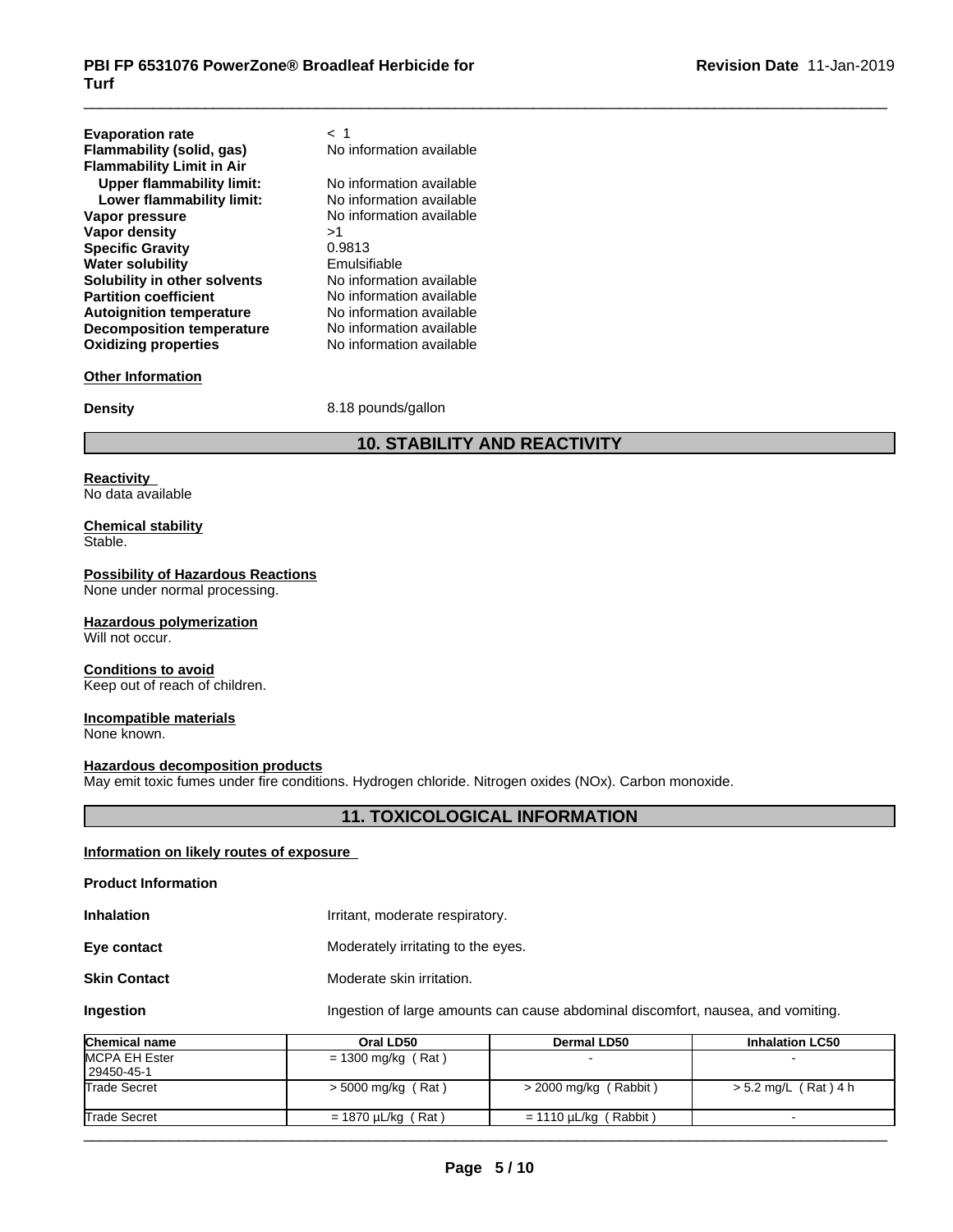| <b>Evaporation rate</b>                                       | < 1                      |
|---------------------------------------------------------------|--------------------------|
| Flammability (solid, gas)<br><b>Flammability Limit in Air</b> | No information available |
| <b>Upper flammability limit:</b>                              | No information available |
| Lower flammability limit:                                     | No information available |
| Vapor pressure                                                | No information available |
| Vapor density                                                 | >1                       |
| <b>Specific Gravity</b>                                       | 0.9813                   |
| <b>Water solubility</b>                                       | Emulsifiable             |
| Solubility in other solvents                                  | No information available |
| <b>Partition coefficient</b>                                  | No information available |
| <b>Autoignition temperature</b>                               | No information available |
| <b>Decomposition temperature</b>                              | No information available |
| <b>Oxidizing properties</b>                                   | No information available |
|                                                               |                          |

# **Other Information**

**Density** 8.18 pounds/gallon

# **10. STABILITY AND REACTIVITY**

# **Reactivity**

No data available

**Chemical stability** Stable.

#### **Possibility of Hazardous Reactions**

None under normal processing.

#### **Hazardous polymerization**

Will not occur.

#### **Conditions to avoid**

Keep out of reach of children.

# **Incompatible materials**

None known.

#### **Hazardous decomposition products**

May emit toxic fumes under fire conditions. Hydrogen chloride. Nitrogen oxides (NOx). Carbon monoxide.

# **11. TOXICOLOGICAL INFORMATION**

# **Information on likely routes of exposure**

#### **Product Information**

**Inhalation Inhalation I**rritant, moderate respiratory.

**Eye contact** Moderately irritating to the eyes.

# **Skin Contact** Moderate skin irritation.

**Ingestion Ingestion Ingestion of large amounts can cause abdominal discomfort, nausea, and vomiting.** 

| <b>Chemical name</b> | Oral LD50               | <b>Dermal LD50</b>         | <b>Inhalation LC50</b> |
|----------------------|-------------------------|----------------------------|------------------------|
| MCPA EH Ester        | = 1300 mg/kg (Rat)      |                            |                        |
| 29450-45-1           |                         |                            |                        |
| <b>Trade Secret</b>  | $>$ 5000 mg/kg (Rat)    | $>$ 2000 mg/kg (Rabbit)    | $> 5.2$ mg/L (Rat) 4 h |
| <b>Trade Secret</b>  | $= 1870 \mu L/kg$ (Rat) | $= 1110 \mu L/kg$ (Rabbit) |                        |
|                      |                         |                            |                        |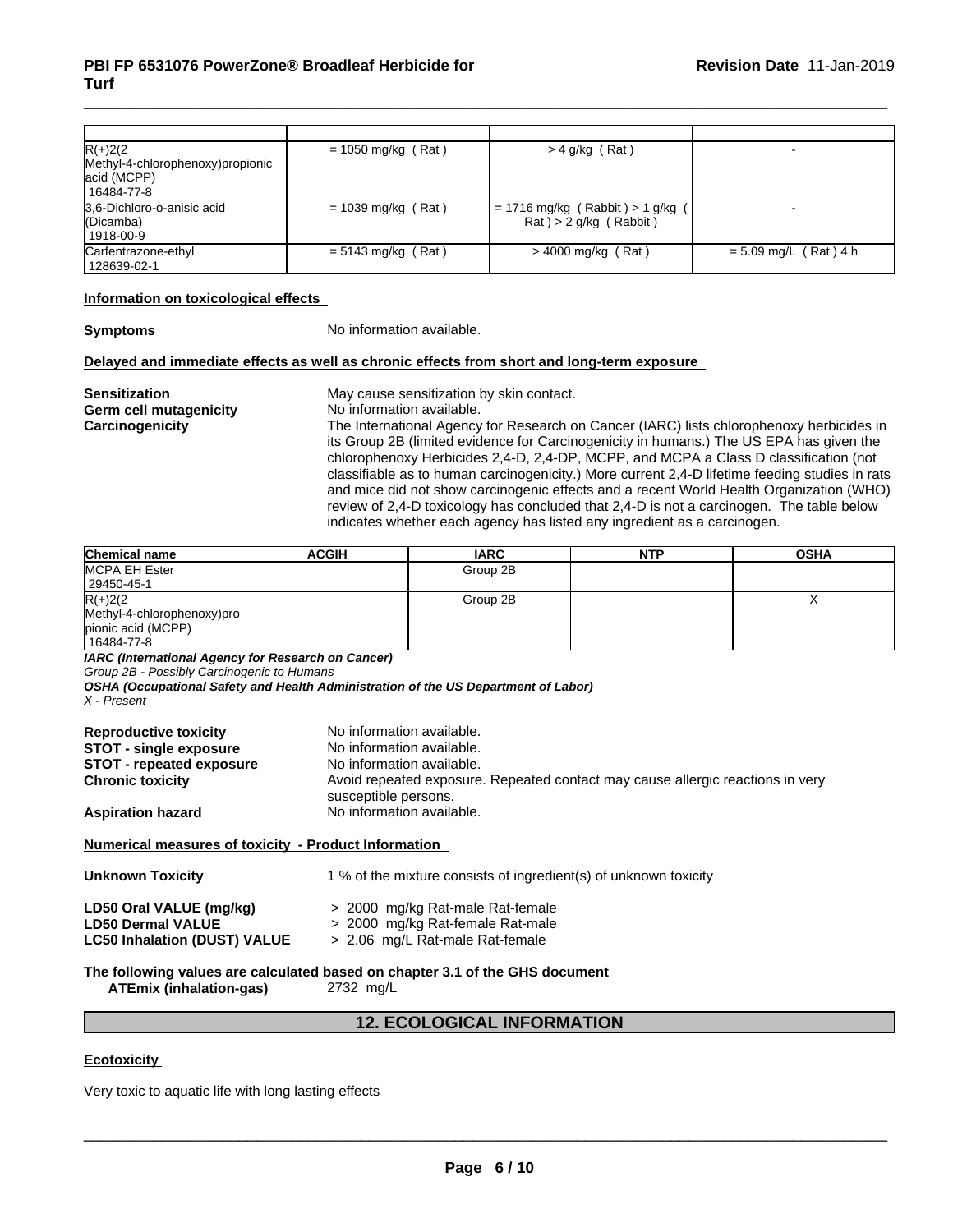| $R(+)2(2)$<br>Methyl-4-chlorophenoxy) propionic<br>acid (MCPP)<br>  16484-77-8 | $= 1050$ mg/kg (Rat) | $>$ 4 g/kg (Rat)                                              |                         |
|--------------------------------------------------------------------------------|----------------------|---------------------------------------------------------------|-------------------------|
| 3,6-Dichloro-o-anisic acid<br>(Dicamba)<br>  1918-00-9                         | $= 1039$ mg/kg (Rat) | $= 1716$ mg/kg (Rabbit) > 1 g/kg<br>$Rat$ ) > 2 g/kg (Rabbit) |                         |
| Carfentrazone-ethyl<br>128639-02-1                                             | $= 5143$ mg/kg (Rat) | $>$ 4000 mg/kg (Rat)                                          | $= 5.09$ mg/L (Rat) 4 h |

#### **Information on toxicological effects**

**Symptoms** No information available.

#### **Delayed and immediate effects as well as chronic effects from short and long-term exposure**

**Sensitization**<br> **Sensitization by skin contact.**<br> **Germ cell mutagenicity**<br> **No** information available. **Germ** cell mutagenicity

**Carcinogenicity** The International Agency for Research on Cancer (IARC) lists chlorophenoxy herbicides in its Group 2B (limited evidence for Carcinogenicity in humans.) The US EPA has given the chlorophenoxy Herbicides 2,4-D, 2,4-DP, MCPP, and MCPA a Class D classification (not classifiable as to human carcinogenicity.) More current 2,4-D lifetime feeding studies in rats and mice did not show carcinogenic effects and a recent World Health Organization (WHO) review of 2,4-D toxicology has concluded that 2,4-D is not a carcinogen. The table below indicates whether each agency has listed any ingredient as a carcinogen.

| Chemical name              | <b>ACGIH</b> | <b>IARC</b> | <b>NTP</b> | <b>OSHA</b> |
|----------------------------|--------------|-------------|------------|-------------|
| <b>MCPA EH Ester</b>       |              | Group 2B    |            |             |
| 29450-45-1                 |              |             |            |             |
| $R(+)2(2)$                 |              | Group 2B    |            |             |
| Methyl-4-chlorophenoxy)pro |              |             |            |             |
| pionic acid (MCPP)         |              |             |            |             |
| 16484-77-8                 |              |             |            |             |

*IARC (International Agency for Research on Cancer)*

*Group 2B - Possibly Carcinogenic to Humans*

*OSHA (Occupational Safety and Health Administration of the US Department of Labor) X - Present*

| <b>Reproductive toxicity</b><br><b>STOT - single exposure</b><br><b>STOT - repeated exposure</b> | No information available.<br>No information available.<br>No information available.                    |
|--------------------------------------------------------------------------------------------------|--------------------------------------------------------------------------------------------------------|
| <b>Chronic toxicity</b>                                                                          | Avoid repeated exposure. Repeated contact may cause allergic reactions in very<br>susceptible persons. |
| <b>Aspiration hazard</b>                                                                         | No information available.                                                                              |

# **Numerical measures of toxicity - Product Information**

| <b>Unknown Toxicity</b>                                                                    | 1 % of the mixture consists of ingredient(s) of unknown toxicity                                        |
|--------------------------------------------------------------------------------------------|---------------------------------------------------------------------------------------------------------|
| LD50 Oral VALUE (mg/kg)<br><b>LD50 Dermal VALUE</b><br><b>LC50 Inhalation (DUST) VALUE</b> | > 2000 mg/kg Rat-male Rat-female<br>> 2000 mg/kg Rat-female Rat-male<br>> 2.06 mg/L Rat-male Rat-female |
|                                                                                            | The following values are calculated based on chapter 3.1 of the GHS document                            |

**ATEmix (inhalation-gas)** 2732 mg/L

# **12. ECOLOGICAL INFORMATION**

# **Ecotoxicity**

Very toxic to aquatic life with long lasting effects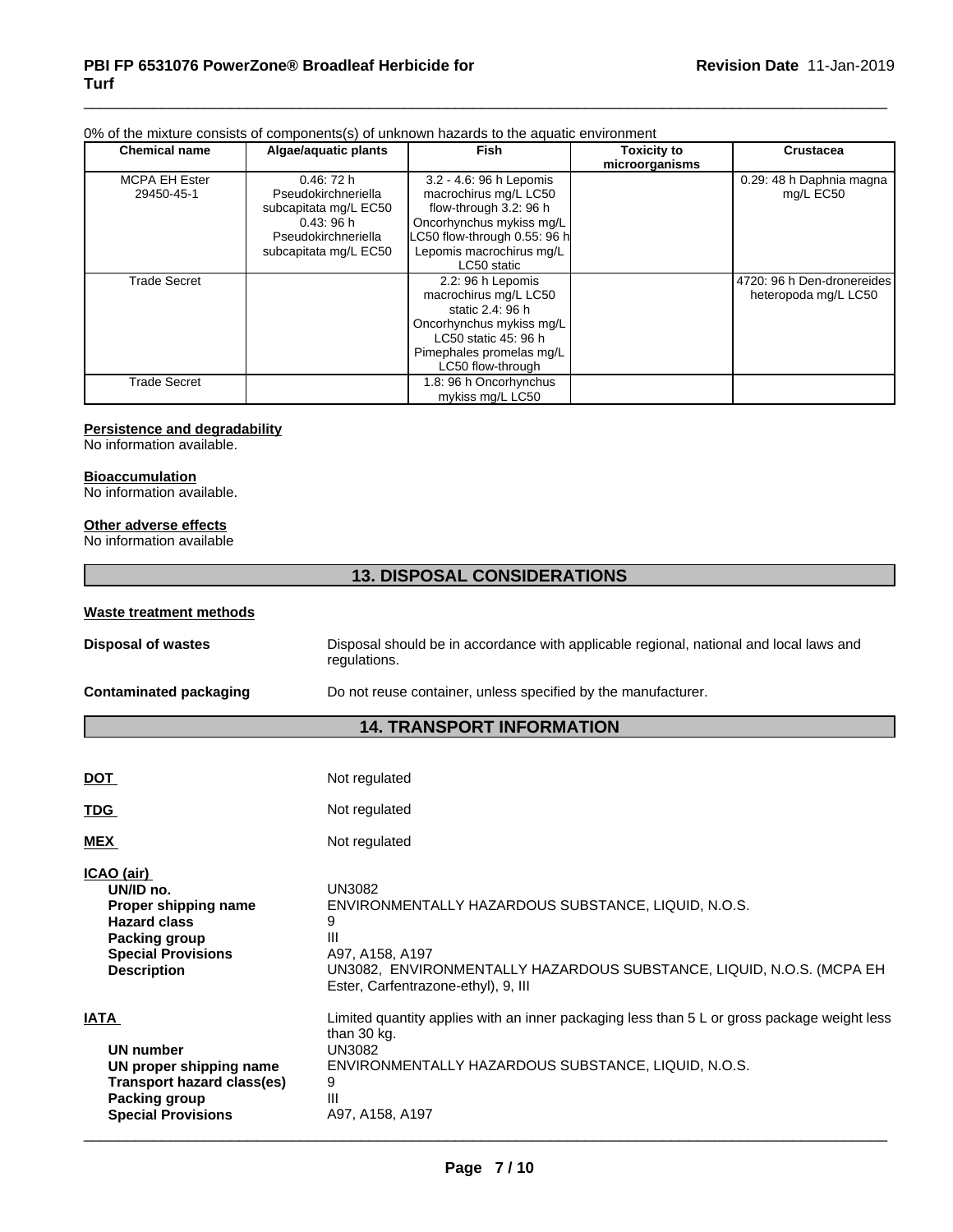# 0% of the mixture consists of components(s) of unknown hazards to the aquatic environment

| <b>Chemical name</b> | Algae/aquatic plants  | <b>Fish</b>                  | <b>Toxicity to</b><br>microorganisms | <b>Crustacea</b>           |
|----------------------|-----------------------|------------------------------|--------------------------------------|----------------------------|
| <b>MCPA EH Ester</b> | 0.46:72h              | 3.2 - 4.6: 96 h Lepomis      |                                      | 0.29: 48 h Daphnia magna   |
| 29450-45-1           | Pseudokirchneriella   | macrochirus mg/L LC50        |                                      | mg/L EC50                  |
|                      | subcapitata mg/L EC50 | flow-through 3.2: 96 h       |                                      |                            |
|                      | 0.43:96h              | Oncorhynchus mykiss mg/L     |                                      |                            |
|                      | Pseudokirchneriella   | LC50 flow-through 0.55: 96 h |                                      |                            |
|                      | subcapitata mg/L EC50 | Lepomis macrochirus mg/L     |                                      |                            |
|                      |                       | LC50 static                  |                                      |                            |
| <b>Trade Secret</b>  |                       | 2.2: 96 h Lepomis            |                                      | 4720: 96 h Den-dronereides |
|                      |                       | macrochirus mg/L LC50        |                                      | heteropoda mg/L LC50       |
|                      |                       | static 2.4: 96 h             |                                      |                            |
|                      |                       | Oncorhynchus mykiss mg/L     |                                      |                            |
|                      |                       | LC50 static 45: 96 h         |                                      |                            |
|                      |                       | Pimephales promelas mg/L     |                                      |                            |
|                      |                       | LC50 flow-through            |                                      |                            |
| Trade Secret         |                       | 1.8: 96 h Oncorhynchus       |                                      |                            |
|                      |                       | mykiss mg/L LC50             |                                      |                            |

#### **Persistence and degradability**

No information available.

#### **Bioaccumulation**

No information available.

## **Other adverse effects**

No information available

# **13. DISPOSAL CONSIDERATIONS**

| Waste treatment methods   |                                                                                                        |
|---------------------------|--------------------------------------------------------------------------------------------------------|
| <b>Disposal of wastes</b> | Disposal should be in accordance with applicable regional, national and local laws and<br>regulations. |
| Contaminated packaging    | Do not reuse container, unless specified by the manufacturer.                                          |

# **14. TRANSPORT INFORMATION**

| <b>DOT</b>                                                                                                                                        | Not regulated                                                                                                                                                                                             |
|---------------------------------------------------------------------------------------------------------------------------------------------------|-----------------------------------------------------------------------------------------------------------------------------------------------------------------------------------------------------------|
| <b>TDG</b>                                                                                                                                        | Not regulated                                                                                                                                                                                             |
| <b>MEX</b>                                                                                                                                        | Not regulated                                                                                                                                                                                             |
| ICAO (air)<br>UN/ID no.<br>Proper shipping name<br><b>Hazard class</b><br><b>Packing group</b><br><b>Special Provisions</b><br><b>Description</b> | UN3082<br>ENVIRONMENTALLY HAZARDOUS SUBSTANCE, LIQUID, N.O.S.<br>9<br>Ш<br>A97, A158, A197<br>UN3082, ENVIRONMENTALLY HAZARDOUS SUBSTANCE, LIQUID, N.O.S. (MCPA EH<br>Ester, Carfentrazone-ethyl), 9, III |
| <b>IATA</b><br>UN number<br>UN proper shipping name<br><b>Transport hazard class(es)</b><br><b>Packing group</b>                                  | Limited quantity applies with an inner packaging less than 5 L or gross package weight less<br>than 30 kg.<br>UN3082<br>ENVIRONMENTALLY HAZARDOUS SUBSTANCE, LIQUID, N.O.S.<br>9<br>Ш                     |
| <b>Special Provisions</b>                                                                                                                         | A97, A158, A197                                                                                                                                                                                           |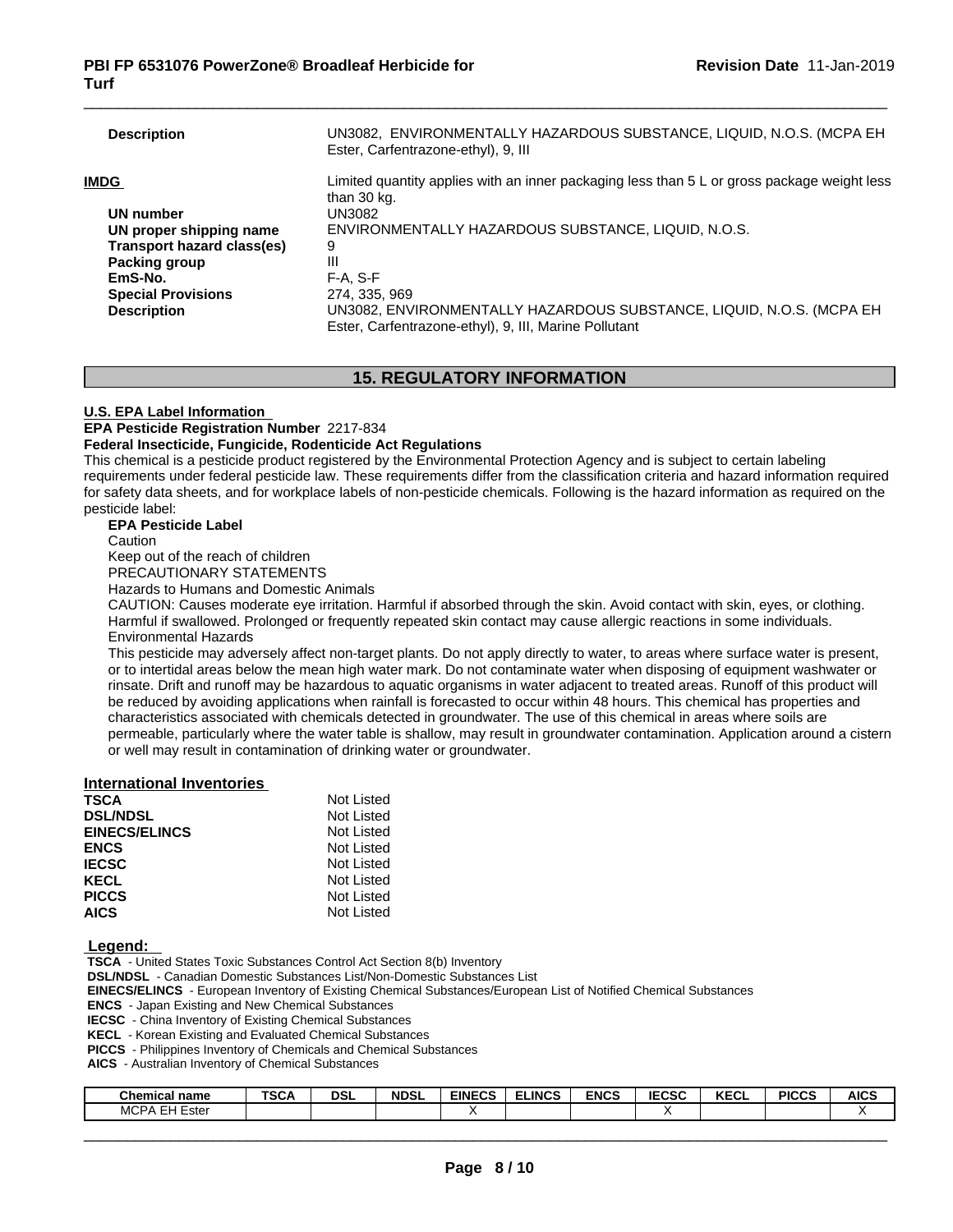| <b>Description</b>         | UN3082, ENVIRONMENTALLY HAZARDOUS SUBSTANCE, LIQUID, N.O.S. (MCPA EH<br>Ester, Carfentrazone-ethyl), 9, III                   |
|----------------------------|-------------------------------------------------------------------------------------------------------------------------------|
| IMDG                       | Limited quantity applies with an inner packaging less than 5 L or gross package weight less<br>than 30 kg.                    |
| UN number                  | UN3082                                                                                                                        |
| UN proper shipping name    | ENVIRONMENTALLY HAZARDOUS SUBSTANCE, LIQUID, N.O.S.                                                                           |
| Transport hazard class(es) | 9                                                                                                                             |
| <b>Packing group</b>       | Ш                                                                                                                             |
| EmS-No.                    | $F-A. S-F$                                                                                                                    |
| <b>Special Provisions</b>  | 274, 335, 969                                                                                                                 |
| <b>Description</b>         | UN3082, ENVIRONMENTALLY HAZARDOUS SUBSTANCE, LIQUID, N.O.S. (MCPA EH<br>Ester, Carfentrazone-ethyl), 9, III, Marine Pollutant |
|                            |                                                                                                                               |

# **15. REGULATORY INFORMATION**

# **U.S. EPA Label Information**

**EPA Pesticide Registration Number** 2217-834

# **Federal Insecticide, Fungicide, Rodenticide Act Regulations**

This chemical is a pesticide product registered by the Environmental Protection Agency and is subject to certain labeling requirements under federal pesticide law. These requirements differ from the classification criteria and hazard information required for safety data sheets, and for workplace labels of non-pesticide chemicals. Following is the hazard information as required on the pesticide label:

#### **EPA Pesticide Label**

**Caution** 

Keep out of the reach of children

PRECAUTIONARY STATEMENTS

Hazards to Humans and Domestic Animals

CAUTION: Causes moderate eye irritation. Harmful if absorbed through the skin. Avoid contact with skin, eyes, or clothing. Harmful if swallowed. Prolonged or frequently repeated skin contact may cause allergic reactions in some individuals. Environmental Hazards

This pesticide may adversely affect non-target plants. Do not apply directly to water, to areas where surface water is present, or to intertidal areas below the mean high water mark. Do not contaminate water when disposing of equipment washwater or rinsate. Drift and runoff may be hazardous to aquatic organisms in water adjacent to treated areas. Runoff of this product will be reduced by avoiding applications when rainfall is forecasted to occur within 48 hours. This chemical has properties and characteristics associated with chemicals detected in groundwater. The use of this chemical in areas where soils are permeable, particularly where the water table is shallow, may result in groundwater contamination. Application around a cistern or well may result in contamination of drinking water or groundwater.

# **International Inventories**

| <b>DSL/NDSL</b><br>Not Listed<br><b>EINECS/ELINCS</b><br>Not Listed<br>Not Listed<br><b>ENCS</b><br><b>IECSC</b><br>Not Listed<br>Not Listed<br><b>KECL</b><br><b>PICCS</b><br>Not Listed<br><b>AICS</b><br>Not Listed | <b>TSCA</b> | Not Listed |  |
|------------------------------------------------------------------------------------------------------------------------------------------------------------------------------------------------------------------------|-------------|------------|--|
|                                                                                                                                                                                                                        |             |            |  |
|                                                                                                                                                                                                                        |             |            |  |
|                                                                                                                                                                                                                        |             |            |  |
|                                                                                                                                                                                                                        |             |            |  |
|                                                                                                                                                                                                                        |             |            |  |
|                                                                                                                                                                                                                        |             |            |  |
|                                                                                                                                                                                                                        |             |            |  |

#### **Legend:**

 **TSCA** - United States Toxic Substances Control Act Section 8(b) Inventory

 **DSL/NDSL** - Canadian Domestic Substances List/Non-Domestic Substances List

 **EINECS/ELINCS** - European Inventory of Existing Chemical Substances/European List of Notified Chemical Substances

 **ENCS** - Japan Existing and New Chemical Substances

 **IECSC** - China Inventory of Existing Chemical Substances

 **KECL** - Korean Existing and Evaluated Chemical Substances

 **PICCS** - Philippines Inventory of Chemicals and Chemical Substances

 **AICS** - Australian Inventory of Chemical Substances

| <b>Chemical name</b>       | TCO.<br>SCA | <b>DSL</b> | <b>NDSL</b> | <b>EINECS</b><br>-uj | <b>ELINCS</b> | <b>ENCS</b> | 5000<br><b>IECSL</b> | I/T<br><b>NEUL</b> | <b>PICCS</b> | <b>AICS</b> |
|----------------------------|-------------|------------|-------------|----------------------|---------------|-------------|----------------------|--------------------|--------------|-------------|
| <b>MCPA</b><br>Ester<br>-- |             |            |             |                      |               |             |                      |                    |              |             |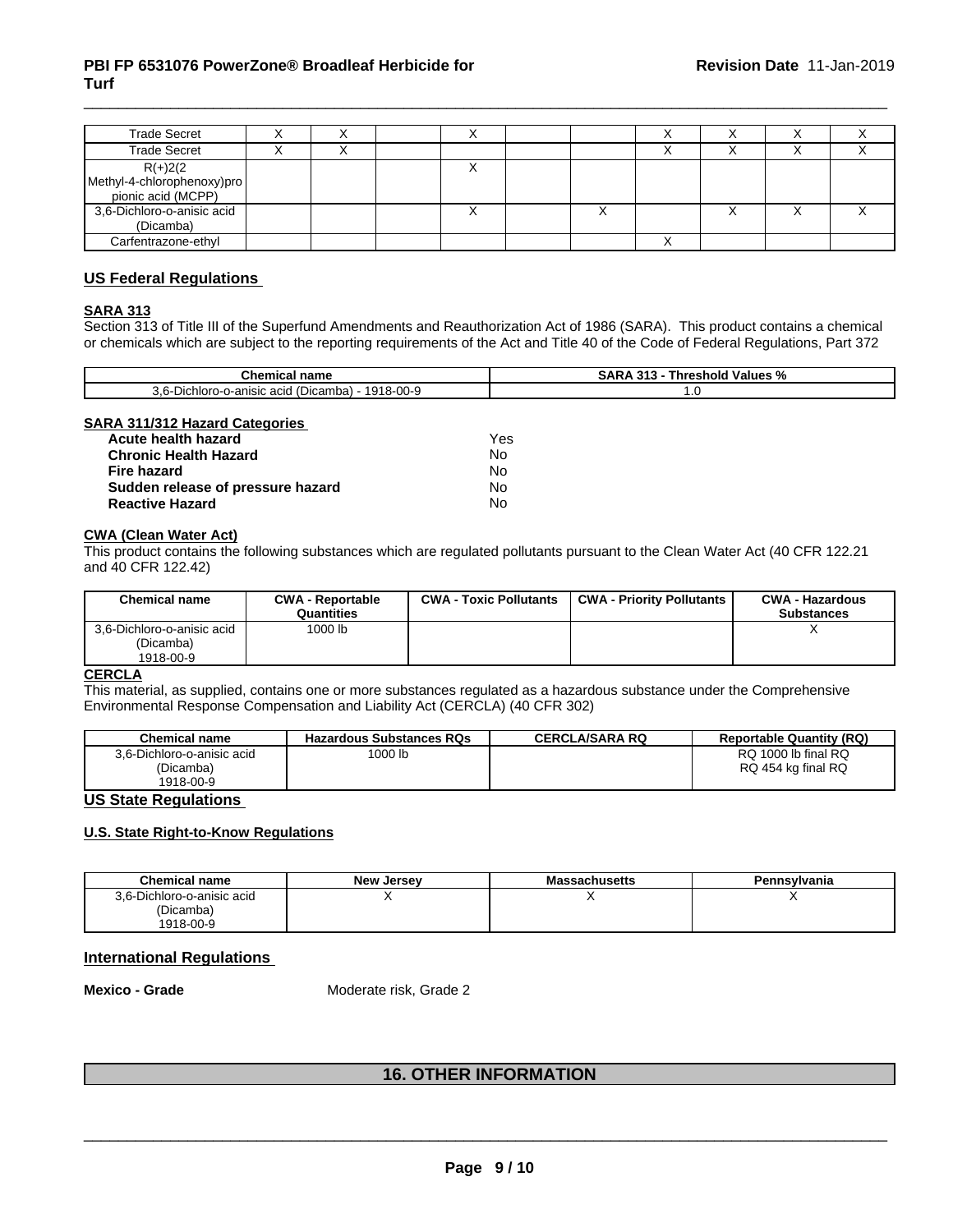| <b>Trade Secret</b>                                           |  |           |  |   |   |
|---------------------------------------------------------------|--|-----------|--|---|---|
| <b>Trade Secret</b>                                           |  |           |  |   |   |
| $R(+)2(2$<br>Methyl-4-chlorophenoxy)pro<br>pionic acid (MCPP) |  |           |  |   |   |
| 3,6-Dichloro-o-anisic acid<br>(Dicamba)                       |  | $\lambda$ |  | ↗ | ⌒ |
| Carfentrazone-ethyl                                           |  |           |  |   |   |

# **US Federal Regulations**

# **SARA 313**

Section 313 of Title III of the Superfund Amendments and Reauthorization Act of 1986 (SARA). This product contains a chemical or chemicals which are subject to the reporting requirements of the Act and Title 40 of the Code of Federal Regulations, Part 372

| <b>Chemical name</b>                                                                        | <br><b>Values</b><br>hreshold<br>эΩ.<br>$\cdot$<br>70 |
|---------------------------------------------------------------------------------------------|-------------------------------------------------------|
| $\cap$<br>0 ≀ ∩י<br>(Dicamba)<br>-anisic<br>acid<br>nloro<br>∽יDich∙ ∪.<br>-o-ar<br>10-UU-9 | $\cdot$ $\circ$                                       |

#### **SARA 311/312 Hazard Categories**

| Acute health hazard               | Yes |  |
|-----------------------------------|-----|--|
| <b>Chronic Health Hazard</b>      | No. |  |
| Fire hazard                       | N٥  |  |
| Sudden release of pressure hazard | No  |  |
| <b>Reactive Hazard</b>            | No  |  |

# **CWA (Clean WaterAct)**

This product contains the following substances which are regulated pollutants pursuant to the Clean Water Act (40 CFR 122.21 and 40 CFR 122.42)

| <b>Chemical name</b>                                 | <b>CWA - Reportable</b><br>Quantities | <b>CWA - Toxic Pollutants</b> | <b>CWA - Priority Pollutants</b> | <b>CWA - Hazardous</b><br><b>Substances</b> |
|------------------------------------------------------|---------------------------------------|-------------------------------|----------------------------------|---------------------------------------------|
| 3,6-Dichloro-o-anisic acid<br>(Dicamba)<br>1918-00-9 | 1000 lb                               |                               |                                  | $\lambda$                                   |

# **CERCLA**

This material, as supplied, contains one or more substances regulated as a hazardous substance under the Comprehensive Environmental Response Compensation and Liability Act (CERCLA) (40 CFR 302)

| <b>Chemical name</b>       | <b>Hazardous Substances RQs</b> | CERCLA/SARA RQ | <b>Reportable Quantity (RQ)</b> |
|----------------------------|---------------------------------|----------------|---------------------------------|
| 3.6-Dichloro-o-anisic acid | 1000 lb                         |                | RQ 1000 lb final RQ             |
| (Dicamba)                  |                                 |                | RQ 454 kg final RQ              |
| 1918-00-9                  |                                 |                |                                 |

# **US State Regulations**

# **U.S. State Right-to-Know Regulations**

| <b>Chemical name</b>       | <b>New Jersey</b> | <b>Massachusetts</b> | Pennsylvania |
|----------------------------|-------------------|----------------------|--------------|
| 3.6-Dichloro-o-anisic acid |                   |                      |              |
| (Dicamba)                  |                   |                      |              |
| 1918-00-9                  |                   |                      |              |

# **International Regulations**

**Mexico - Grade** Moderate risk, Grade 2

# **16. OTHER INFORMATION**